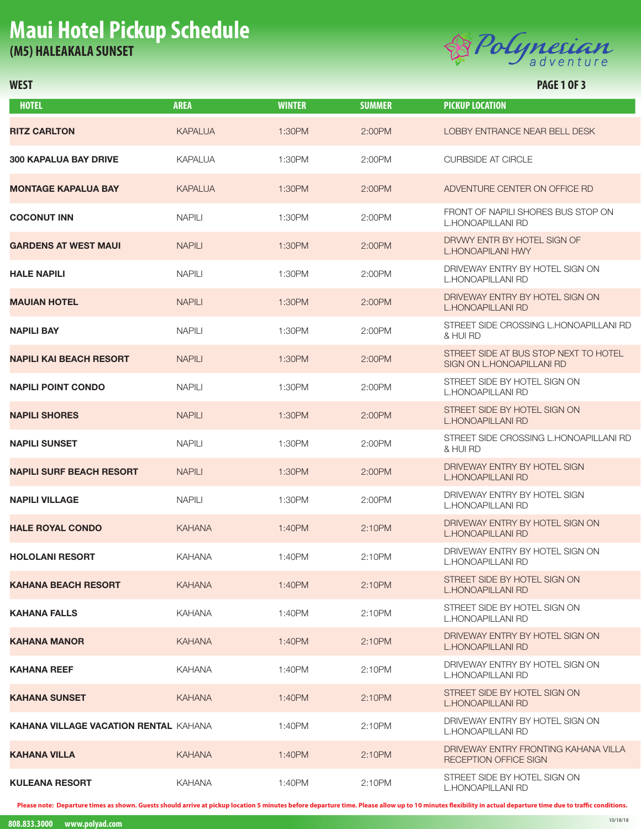## **Maui Hotel Pickup Schedule (M5) HALEAKALA SUNSET**



### **WEST PAGE 1 OF 3**

| <b>HOTEL</b>                                 | <b>AREA</b>    | <b>WINTER</b> | <b>SUMMER</b> | <b>PICKUP LOCATION</b>                                             |
|----------------------------------------------|----------------|---------------|---------------|--------------------------------------------------------------------|
| RITZ CARLTON                                 | <b>KAPALUA</b> | 1:30PM        | 2:00PM        | LOBBY ENTRANCE NEAR BELL DESK                                      |
| <b>300 KAPALUA BAY DRIVE</b>                 | KAPALUA        | 1:30PM        | 2:00PM        | <b>CURBSIDE AT CIRCLE</b>                                          |
| MONTAGE KAPALUA BAY                          | <b>KAPALUA</b> | 1:30PM        | 2:00PM        | ADVENTURE CENTER ON OFFICE RD                                      |
| <b>COCONUT INN</b>                           | <b>NAPILI</b>  | 1:30PM        | 2:00PM        | FRONT OF NAPILI SHORES BUS STOP ON<br><b>L.HONOAPILLANI RD</b>     |
| <b>GARDENS AT WEST MAUI</b>                  | <b>NAPILI</b>  | 1:30PM        | 2:00PM        | DRVWY ENTR BY HOTEL SIGN OF<br>L.HONOAPILANI HWY                   |
| HALE NAPILI                                  | <b>NAPILI</b>  | 1:30PM        | 2:00PM        | DRIVEWAY ENTRY BY HOTEL SIGN ON<br><b>L.HONOAPILLANI RD</b>        |
| MAUIAN HOTEL                                 | <b>NAPILI</b>  | 1:30PM        | 2:00PM        | DRIVEWAY ENTRY BY HOTEL SIGN ON<br><b>L.HONOAPILLANI RD</b>        |
| NAPILI BAY                                   | <b>NAPILI</b>  | 1:30PM        | 2:00PM        | STREET SIDE CROSSING L.HONOAPILLANI RD<br>& HUI RD                 |
| NAPILI KAI BEACH RESORT                      | <b>NAPILI</b>  | 1:30PM        | 2:00PM        | STREET SIDE AT BUS STOP NEXT TO HOTEL<br>SIGN ON L.HONOAPILLANI RD |
| NAPILI POINT CONDO                           | <b>NAPILI</b>  | 1:30PM        | 2:00PM        | STREET SIDE BY HOTEL SIGN ON<br><b>L.HONOAPILLANI RD</b>           |
| NAPILI SHORES                                | <b>NAPILI</b>  | 1:30PM        | 2:00PM        | STREET SIDE BY HOTEL SIGN ON<br><b>L.HONOAPILLANI RD</b>           |
| NAPILI SUNSET                                | <b>NAPILI</b>  | 1:30PM        | 2:00PM        | STREET SIDE CROSSING L.HONOAPILLANI RD<br>& HUI RD                 |
| NAPILI SURF BEACH RESORT                     | <b>NAPILI</b>  | 1:30PM        | 2:00PM        | DRIVEWAY ENTRY BY HOTEL SIGN<br><b>L.HONOAPILLANI RD</b>           |
| NAPILI VILLAGE                               | <b>NAPILI</b>  | 1:30PM        | 2:00PM        | DRIVEWAY ENTRY BY HOTEL SIGN<br><b>L.HONOAPILLANI RD</b>           |
| <b>HALE ROYAL CONDO</b>                      | <b>KAHANA</b>  | 1:40PM        | 2:10PM        | DRIVEWAY ENTRY BY HOTEL SIGN ON<br><b>L.HONOAPILLANI RD</b>        |
| HOLOLANI RESORT                              | <b>KAHANA</b>  | 1:40PM        | 2:10PM        | DRIVEWAY ENTRY BY HOTEL SIGN ON<br><b>L.HONOAPILLANI RD</b>        |
| KAHANA BEACH RESORT                          | <b>KAHANA</b>  | 1:40PM        | 2:10PM        | STREET SIDE BY HOTEL SIGN ON<br><b>L.HONOAPILLANI RD</b>           |
| KAHANA FALLS                                 | <b>KAHANA</b>  | 1:40PM        | 2:10PM        | STREET SIDE BY HOTEL SIGN ON<br>L.HONOAPILLANI RD                  |
| KAHANA MANOR                                 | <b>KAHANA</b>  | 1:40PM        | 2:10PM        | DRIVEWAY ENTRY BY HOTEL SIGN ON<br><b>L.HONOAPILLANI RD</b>        |
| KAHANA REEF                                  | <b>KAHANA</b>  | 1:40PM        | 2:10PM        | DRIVEWAY ENTRY BY HOTEL SIGN ON<br>L.HONOAPILLANI RD               |
| KAHANA SUNSET                                | <b>KAHANA</b>  | 1:40PM        | 2:10PM        | STREET SIDE BY HOTEL SIGN ON<br><b>L.HONOAPILLANI RD</b>           |
| <b>KAHANA VILLAGE VACATION RENTAL</b> KAHANA |                | 1:40PM        | 2:10PM        | DRIVEWAY ENTRY BY HOTEL SIGN ON<br>L.HONOAPILLANI RD               |
| KAHANA VILLA                                 | <b>KAHANA</b>  | 1:40PM        | 2:10PM        | DRIVEWAY ENTRY FRONTING KAHANA VILLA<br>RECEPTION OFFICE SIGN      |
| KULEANA RESORT                               | <b>KAHANA</b>  | 1:40PM        | 2:10PM        | STREET SIDE BY HOTEL SIGN ON<br><b>L.HONOAPILLANI RD</b>           |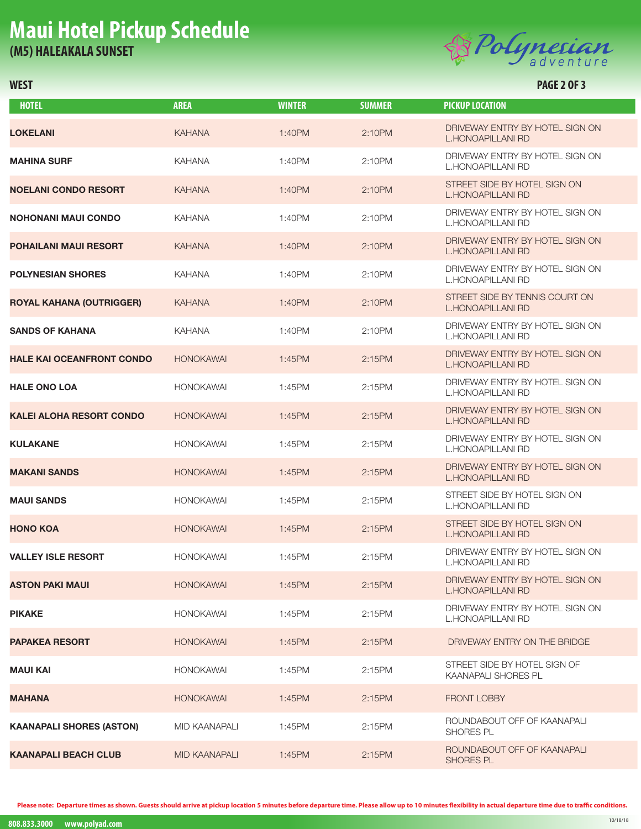## **Maui Hotel Pickup Schedule (M5) HALEAKALA SUNSET**



### **WEST PAGE 2 OF 3**

| <b>HOTEL</b>                     | <b>AREA</b>          | <b>WINTER</b> | <b>SUMMER</b> | <b>PICKUP LOCATION</b>                                      |
|----------------------------------|----------------------|---------------|---------------|-------------------------------------------------------------|
| LOKELANI                         | <b>KAHANA</b>        | 1:40PM        | 2:10PM        | DRIVEWAY ENTRY BY HOTEL SIGN ON<br>L.HONOAPILLANI RD        |
| <b>MAHINA SURF</b>               | <b>KAHANA</b>        | 1:40PM        | 2:10PM        | DRIVEWAY ENTRY BY HOTEL SIGN ON<br>L.HONOAPILLANI RD        |
| <b>NOELANI CONDO RESORT</b>      | <b>KAHANA</b>        | 1:40PM        | 2:10PM        | STREET SIDE BY HOTEL SIGN ON<br>L.HONOAPILLANI RD           |
| <b>NOHONANI MAUI CONDO</b>       | <b>KAHANA</b>        | 1:40PM        | 2:10PM        | DRIVEWAY ENTRY BY HOTEL SIGN ON<br>L.HONOAPILLANI RD        |
| POHAILANI MAUI RESORT            | <b>KAHANA</b>        | 1:40PM        | 2:10PM        | DRIVEWAY ENTRY BY HOTEL SIGN ON<br>L.HONOAPILLANI RD        |
| <b>POLYNESIAN SHORES</b>         | <b>KAHANA</b>        | 1:40PM        | 2:10PM        | DRIVEWAY ENTRY BY HOTEL SIGN ON<br>L.HONOAPILLANI RD        |
| ROYAL KAHANA (OUTRIGGER)         | <b>KAHANA</b>        | 1:40PM        | 2:10PM        | STREET SIDE BY TENNIS COURT ON<br>L.HONOAPILLANI RD         |
| <b>SANDS OF KAHANA</b>           | <b>KAHANA</b>        | 1:40PM        | 2:10PM        | DRIVEWAY ENTRY BY HOTEL SIGN ON<br>L.HONOAPILLANI RD        |
| <b>HALE KAI OCEANFRONT CONDO</b> | <b>HONOKAWAI</b>     | 1:45PM        | 2:15PM        | DRIVEWAY ENTRY BY HOTEL SIGN ON<br>L.HONOAPILLANI RD        |
| <b>HALE ONO LOA</b>              | <b>HONOKAWAI</b>     | 1:45PM        | 2:15PM        | DRIVEWAY ENTRY BY HOTEL SIGN ON<br><b>L.HONOAPILLANI RD</b> |
| <b>KALEI ALOHA RESORT CONDO</b>  | <b>HONOKAWAI</b>     | 1:45PM        | 2:15PM        | DRIVEWAY ENTRY BY HOTEL SIGN ON<br>L.HONOAPILLANI RD        |
| <b>KULAKANE</b>                  | <b>HONOKAWAI</b>     | 1:45PM        | 2:15PM        | DRIVEWAY ENTRY BY HOTEL SIGN ON<br>L.HONOAPILLANI RD        |
| <b>MAKANI SANDS</b>              | <b>HONOKAWAI</b>     | 1:45PM        | 2:15PM        | DRIVEWAY ENTRY BY HOTEL SIGN ON<br><b>L.HONOAPILLANI RD</b> |
| <b>MAUI SANDS</b>                | <b>HONOKAWAI</b>     | 1:45PM        | 2:15PM        | STREET SIDE BY HOTEL SIGN ON<br><b>L.HONOAPILLANI RD</b>    |
| <b>HONO KOA</b>                  | <b>HONOKAWAI</b>     | 1:45PM        | 2:15PM        | STREET SIDE BY HOTEL SIGN ON<br>L.HONOAPILLANI RD           |
| <b>VALLEY ISLE RESORT</b>        | <b>HONOKAWAI</b>     | 1:45PM        | 2:15PM        | DRIVEWAY ENTRY BY HOTEL SIGN ON<br>L.HONOAPILLANI RD        |
| ASTON PAKI MAUI                  | <b>HONOKAWAI</b>     | 1:45PM        | 2:15PM        | DRIVEWAY ENTRY BY HOTEL SIGN ON<br>L.HONOAPILLANI RD        |
| <b>PIKAKE</b>                    | <b>HONOKAWAI</b>     | 1:45PM        | 2:15PM        | DRIVEWAY ENTRY BY HOTEL SIGN ON<br>L.HONOAPILLANI RD        |
| <b>PAPAKEA RESORT</b>            | <b>HONOKAWAI</b>     | 1:45PM        | 2:15PM        | DRIVEWAY ENTRY ON THE BRIDGE                                |
| MAUI KAI                         | <b>HONOKAWAI</b>     | 1:45PM        | 2:15PM        | STREET SIDE BY HOTEL SIGN OF<br><b>KAANAPALI SHORES PL</b>  |
| <b>MAHANA</b>                    | <b>HONOKAWAI</b>     | 1:45PM        | 2:15PM        | <b>FRONT LOBBY</b>                                          |
| <b>KAANAPALI SHORES (ASTON)</b>  | MID KAANAPALI        | 1:45PM        | 2:15PM        | ROUNDABOUT OFF OF KAANAPALI<br><b>SHORES PL</b>             |
| KAANAPALI BEACH CLUB             | <b>MID KAANAPALI</b> | 1:45PM        | 2:15PM        | ROUNDABOUT OFF OF KAANAPALI<br><b>SHORES PL</b>             |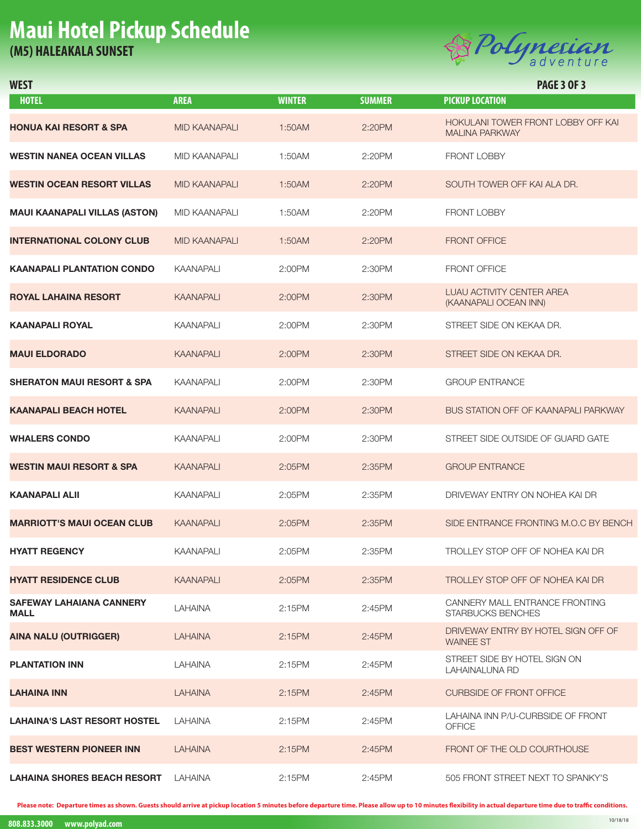## **Maui Hotel Pickup Schedule (M5) HALEAKALA SUNSET**



| <b>HOTEL</b>                      | <b>AREA</b>          | <b>WINTER</b> | <b>SUMMER</b> | <b>PICKUP LOCATION</b>                                      |
|-----------------------------------|----------------------|---------------|---------------|-------------------------------------------------------------|
| HONUA KAI RESORT & SPA            | <b>MID KAANAPALI</b> | 1:50AM        | 2:20PM        | HOKULANI TOWER FRONT LOBBY OFF KAI<br><b>MALINA PARKWAY</b> |
| WESTIN NANEA OCEAN VILLAS         | MID KAANAPALI        | 1:50AM        | 2:20PM        | <b>FRONT LOBBY</b>                                          |
| WESTIN OCEAN RESORT VILLAS        | <b>MID KAANAPALI</b> | 1:50AM        | 2:20PM        | SOUTH TOWER OFF KAI ALA DR.                                 |
| MAUI KAANAPALI VILLAS (ASTON)     | MID KAANAPALI        | 1:50AM        | 2:20PM        | <b>FRONT LOBBY</b>                                          |
| INTERNATIONAL COLONY CLUB         | <b>MID KAANAPALI</b> | 1:50AM        | 2:20PM        | <b>FRONT OFFICE</b>                                         |
| KAANAPALI PLANTATION CONDO        | <b>KAANAPALI</b>     | 2:00PM        | 2:30PM        | <b>FRONT OFFICE</b>                                         |
| ROYAL LAHAINA RESORT              | <b>KAANAPALI</b>     | 2:00PM        | 2:30PM        | <b>LUAU ACTIVITY CENTER AREA</b><br>(KAANAPALI OCEAN INN)   |
| KAANAPALI ROYAL                   | <b>KAANAPALI</b>     | 2:00PM        | 2:30PM        | STREET SIDE ON KEKAA DR.                                    |
| <b>MAUI ELDORADO</b>              | <b>KAANAPALI</b>     | 2:00PM        | 2:30PM        | STREET SIDE ON KEKAA DR.                                    |
| SHERATON MAUI RESORT & SPA        | <b>KAANAPALI</b>     | 2:00PM        | 2:30PM        | <b>GROUP ENTRANCE</b>                                       |
| KAANAPALI BEACH HOTEL             | <b>KAANAPALI</b>     | 2:00PM        | 2:30PM        | BUS STATION OFF OF KAANAPALI PARKWAY                        |
| <b>WHALERS CONDO</b>              | <b>KAANAPALI</b>     | 2:00PM        | 2:30PM        | STREET SIDE OUTSIDE OF GUARD GATE                           |
| WESTIN MAUI RESORT & SPA          | <b>KAANAPALI</b>     | 2:05PM        | 2:35PM        | <b>GROUP ENTRANCE</b>                                       |
| KAANAPALI ALII                    | <b>KAANAPALI</b>     | 2:05PM        | 2:35PM        | DRIVEWAY ENTRY ON NOHEA KAI DR                              |
| <b>MARRIOTT'S MAUI OCEAN CLUB</b> | <b>KAANAPALI</b>     | 2:05PM        | 2:35PM        | SIDE ENTRANCE FRONTING M.O.C BY BENCH                       |
| <b>HYATT REGENCY</b>              | <b>KAANAPALI</b>     | 2:05PM        | 2:35PM        | TROLLEY STOP OFF OF NOHEA KAI DR                            |
| <b>HYATT RESIDENCE CLUB</b>       | <b>KAANAPALI</b>     | 2:05PM        | 2:35PM        | TROLLEY STOP OFF OF NOHEA KAI DR                            |
| SAFEWAY LAHAIANA CANNERY<br>MALL  | LAHAINA              | 2:15PM        | 2:45PM        | CANNERY MALL ENTRANCE FRONTING<br>STARBUCKS BENCHES         |
| AINA NALU (OUTRIGGER)             | <b>LAHAINA</b>       | 2:15PM        | 2:45PM        | DRIVEWAY ENTRY BY HOTEL SIGN OFF OF<br><b>WAINEE ST</b>     |
| <b>PLANTATION INN</b>             | LAHAINA              | 2:15PM        | 2:45PM        | STREET SIDE BY HOTEL SIGN ON<br>LAHAINALUNA RD              |
| LAHAINA INN                       | <b>LAHAINA</b>       | 2:15PM        | 2:45PM        | <b>CURBSIDE OF FRONT OFFICE</b>                             |
| LAHAINA'S LAST RESORT HOSTEL      | LAHAINA              | 2:15PM        | 2:45PM        | LAHAINA INN P/U-CURBSIDE OF FRONT<br><b>OFFICE</b>          |
| BEST WESTERN PIONEER INN          | <b>LAHAINA</b>       | 2:15PM        | 2:45PM        | FRONT OF THE OLD COURTHOUSE                                 |
| LAHAINA SHORES BEACH RESORT       | LAHAINA              | 2:15PM        | 2:45PM        | 505 FRONT STREET NEXT TO SPANKY'S                           |

**WEST PAGE 3 OF 3**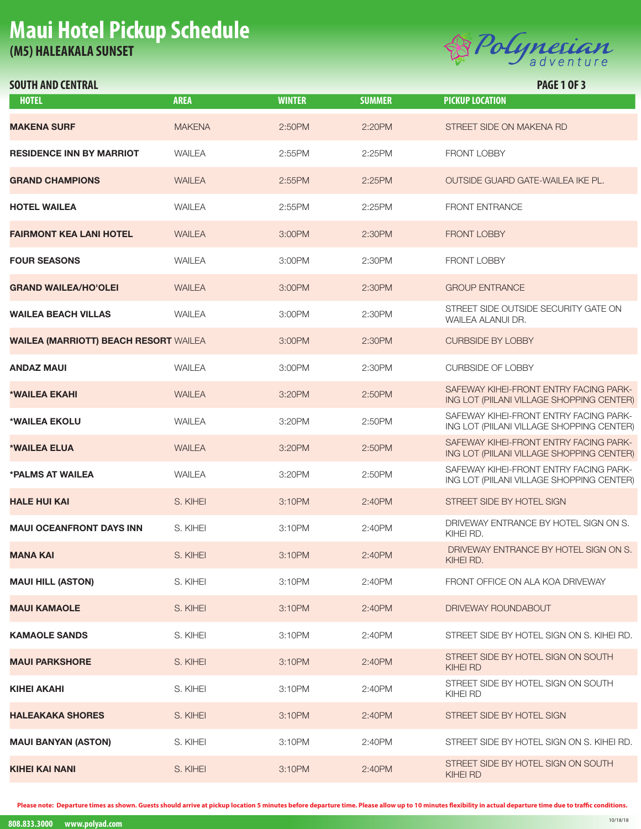# **Maui Hotel Pickup Schedule (M5) HALEAKALA SUNSET SOUTH AND CENTRAL PAGE 10F3**<br>
SOUTH AND CENTRAL **SUNSET**



| <b>HOTEL</b>                                 | <b>AREA</b>   | <b>WINTER</b> | <b>SUMMER</b> | <b>PICKUP LOCATION</b>                                                              |
|----------------------------------------------|---------------|---------------|---------------|-------------------------------------------------------------------------------------|
| <b>MAKENA SURF</b>                           | <b>MAKENA</b> | 2:50PM        | 2:20PM        | STREET SIDE ON MAKENA RD                                                            |
| <b>RESIDENCE INN BY MARRIOT</b>              | <b>WAILEA</b> | 2:55PM        | 2:25PM        | <b>FRONT LOBBY</b>                                                                  |
| <b>GRAND CHAMPIONS</b>                       | <b>WAILEA</b> | $2:55$ PM     | 2:25PM        | OUTSIDE GUARD GATE-WAILEA IKE PL.                                                   |
| <b>HOTEL WAILEA</b>                          | WAILEA        | 2:55PM        | 2:25PM        | <b>FRONT ENTRANCE</b>                                                               |
| <b>FAIRMONT KEA LANI HOTEL</b>               | <b>WAILEA</b> | 3:00PM        | 2:30PM        | <b>FRONT LOBBY</b>                                                                  |
| <b>FOUR SEASONS</b>                          | WAILEA        | 3:00PM        | 2:30PM        | <b>FRONT LOBBY</b>                                                                  |
| <b>GRAND WAILEA/HO'OLEI</b>                  | <b>WAILEA</b> | 3:00PM        | 2:30PM        | <b>GROUP ENTRANCE</b>                                                               |
| <b>WAILEA BEACH VILLAS</b>                   | <b>WAILEA</b> | 3:00PM        | 2:30PM        | STREET SIDE OUTSIDE SECURITY GATE ON<br>WAILEA ALANUI DR.                           |
| <b>WAILEA (MARRIOTT) BEACH RESORT WAILEA</b> |               | 3:00PM        | 2:30PM        | <b>CURBSIDE BY LOBBY</b>                                                            |
| <b>ANDAZ MAUI</b>                            | <b>WAILEA</b> | 3:00PM        | 2:30PM        | <b>CURBSIDE OF LOBBY</b>                                                            |
| *WAILEA EKAHI                                | <b>WAILEA</b> | 3:20PM        | 2:50PM        | SAFEWAY KIHEI-FRONT ENTRY FACING PARK-<br>ING LOT (PIILANI VILLAGE SHOPPING CENTER) |
| *WAILEA EKOLU                                | <b>WAILEA</b> | 3:20PM        | 2:50PM        | SAFEWAY KIHEI-FRONT ENTRY FACING PARK-<br>ING LOT (PIILANI VILLAGE SHOPPING CENTER) |
| *WAILEA ELUA                                 | <b>WAILEA</b> | 3:20PM        | 2:50PM        | SAFEWAY KIHEI-FRONT ENTRY FACING PARK-<br>ING LOT (PIILANI VILLAGE SHOPPING CENTER) |
| *PALMS AT WAILEA                             | <b>WAILEA</b> | 3:20PM        | 2:50PM        | SAFEWAY KIHEI-FRONT ENTRY FACING PARK-<br>ING LOT (PIILANI VILLAGE SHOPPING CENTER) |
| <b>HALE HUI KAI</b>                          | S. KIHEI      | 3:10PM        | 2:40PM        | STREET SIDE BY HOTEL SIGN                                                           |
| <b>MAUI OCEANFRONT DAYS INN</b>              | S. KIHEI      | 3:10PM        | 2:40PM        | DRIVEWAY ENTRANCE BY HOTEL SIGN ON S.<br>KIHEI RD.                                  |
| <b>MANA KAI</b>                              | S. KIHEI      | 3:10PM        | 2:40PM        | DRIVEWAY ENTRANCE BY HOTEL SIGN ON S.<br>KIHEI RD.                                  |
| <b>MAUI HILL (ASTON)</b>                     | S. KIHEI      | 3:10PM        | 2:40PM        | FRONT OFFICE ON ALA KOA DRIVEWAY                                                    |
| <b>MAUI KAMAOLE</b>                          | S. KIHEI      | 3:10PM        | 2:40PM        | DRIVEWAY ROUNDABOUT                                                                 |
| <b>KAMAOLE SANDS</b>                         | S. KIHEI      | 3:10PM        | 2:40PM        | STREET SIDE BY HOTEL SIGN ON S. KIHEI RD.                                           |
| <b>MAUI PARKSHORE</b>                        | S. KIHEI      | 3:10PM        | 2:40PM        | STREET SIDE BY HOTEL SIGN ON SOUTH<br><b>KIHEI RD</b>                               |
| KIHEI AKAHI                                  | S. KIHEI      | 3:10PM        | 2:40PM        | STREET SIDE BY HOTEL SIGN ON SOUTH<br>KIHEI RD                                      |
| <b>HALEAKAKA SHORES</b>                      | S. KIHEI      | 3:10PM        | 2:40PM        | STREET SIDE BY HOTEL SIGN                                                           |
| <b>MAUI BANYAN (ASTON)</b>                   | S. KIHEI      | 3:10PM        | 2:40PM        | STREET SIDE BY HOTEL SIGN ON S. KIHEI RD.                                           |
| KIHEI KAI NANI                               | S. KIHEI      | 3:10PM        | 2:40PM        | STREET SIDE BY HOTEL SIGN ON SOUTH<br><b>KIHEI RD</b>                               |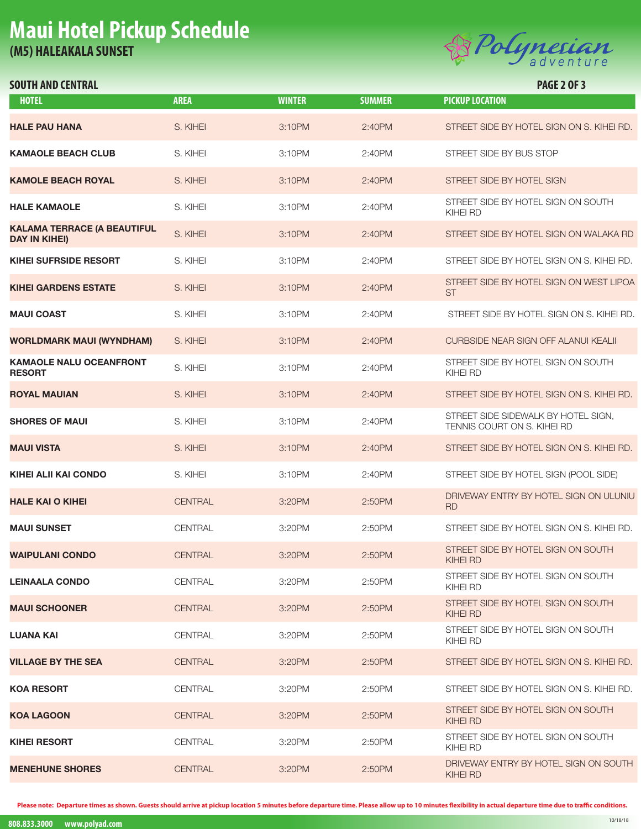# **Maui Hotel Pickup Schedule (M5) HALEAKALA SUNSET SOUTH AND CENTRAL PAGE 2 OF 3**<br>
SOUTH AND CENTRAL **SUNSET**



| <b>HOTEL</b>                                               | <b>AREA</b>    | <b>WINTER</b> | <b>SUMMER</b> | <b>PICKUP LOCATION</b>                                             |
|------------------------------------------------------------|----------------|---------------|---------------|--------------------------------------------------------------------|
| <b>HALE PAU HANA</b>                                       | S. KIHEI       | 3:10PM        | 2:40PM        | STREET SIDE BY HOTEL SIGN ON S. KIHEI RD.                          |
| <b>KAMAOLE BEACH CLUB</b>                                  | S. KIHEI       | 3:10PM        | 2:40PM        | STREET SIDE BY BUS STOP                                            |
| <b>KAMOLE BEACH ROYAL</b>                                  | S. KIHEI       | 3:10PM        | 2:40PM        | STREET SIDE BY HOTEL SIGN                                          |
| <b>HALE KAMAOLE</b>                                        | S. KIHEI       | 3:10PM        | 2:40PM        | STREET SIDE BY HOTEL SIGN ON SOUTH<br>KIHEI RD                     |
| <b>KALAMA TERRACE (A BEAUTIFUL</b><br><b>DAY IN KIHEI)</b> | S. KIHEI       | 3:10PM        | 2:40PM        | STREET SIDE BY HOTEL SIGN ON WALAKA RD                             |
| <b>KIHEI SUFRSIDE RESORT</b>                               | S. KIHEI       | 3:10PM        | 2:40PM        | STREET SIDE BY HOTEL SIGN ON S. KIHEI RD.                          |
| <b>KIHEI GARDENS ESTATE</b>                                | S. KIHEI       | 3:10PM        | 2:40PM        | STREET SIDE BY HOTEL SIGN ON WEST LIPOA<br><b>ST</b>               |
| <b>MAUI COAST</b>                                          | S. KIHEI       | 3:10PM        | 2:40PM        | STREET SIDE BY HOTEL SIGN ON S. KIHEI RD.                          |
| <b>WORLDMARK MAUI (WYNDHAM)</b>                            | S. KIHEI       | 3:10PM        | 2:40PM        | <b>CURBSIDE NEAR SIGN OFF ALANUI KEALII</b>                        |
| <b>KAMAOLE NALU OCEANFRONT</b><br><b>RESORT</b>            | S. KIHEI       | 3:10PM        | 2:40PM        | STREET SIDE BY HOTEL SIGN ON SOUTH<br>KIHEI RD                     |
| <b>ROYAL MAUIAN</b>                                        | S. KIHEI       | 3:10PM        | 2:40PM        | STREET SIDE BY HOTEL SIGN ON S. KIHEI RD.                          |
| <b>SHORES OF MAUI</b>                                      | S. KIHEI       | 3:10PM        | 2:40PM        | STREET SIDE SIDEWALK BY HOTEL SIGN,<br>TENNIS COURT ON S. KIHEI RD |
| <b>MAUI VISTA</b>                                          | S. KIHEI       | 3:10PM        | 2:40PM        | STREET SIDE BY HOTEL SIGN ON S. KIHEI RD.                          |
| <b>KIHEI ALII KAI CONDO</b>                                | S. KIHEI       | 3:10PM        | 2:40PM        | STREET SIDE BY HOTEL SIGN (POOL SIDE)                              |
| <b>HALE KAI O KIHEI</b>                                    | <b>CENTRAL</b> | 3:20PM        | 2:50PM        | DRIVEWAY ENTRY BY HOTEL SIGN ON ULUNIU<br><b>RD</b>                |
| <b>MAUI SUNSET</b>                                         | CENTRAL        | 3:20PM        | 2:50PM        | STREET SIDE BY HOTEL SIGN ON S. KIHEI RD.                          |
| <b>WAIPULANI CONDO</b>                                     | <b>CENTRAL</b> | 3:20PM        | 2:50PM        | STREET SIDE BY HOTEL SIGN ON SOUTH<br>KIHEI RD                     |
| <b>LEINAALA CONDO</b>                                      | CENTRAL        | 3:20PM        | 2:50PM        | STREET SIDE BY HOTEL SIGN ON SOUTH<br>KIHEI RD                     |
| <b>MAUI SCHOONER</b>                                       | <b>CENTRAL</b> | 3:20PM        | 2:50PM        | STREET SIDE BY HOTEL SIGN ON SOUTH<br>KIHEI RD                     |
| LUANA KAI                                                  | CENTRAL        | 3:20PM        | 2:50PM        | STREET SIDE BY HOTEL SIGN ON SOUTH<br>KIHEI RD                     |
| <b>VILLAGE BY THE SEA</b>                                  | <b>CENTRAL</b> | 3:20PM        | 2:50PM        | STREET SIDE BY HOTEL SIGN ON S. KIHEI RD.                          |
| <b>KOA RESORT</b>                                          | <b>CENTRAL</b> | 3:20PM        | 2:50PM        | STREET SIDE BY HOTEL SIGN ON S. KIHEL RD.                          |
| <b>KOA LAGOON</b>                                          | <b>CENTRAL</b> | 3:20PM        | 2:50PM        | STREET SIDE BY HOTEL SIGN ON SOUTH<br><b>KIHEI RD</b>              |
| <b>KIHEI RESORT</b>                                        | <b>CENTRAL</b> | 3:20PM        | 2:50PM        | STREET SIDE BY HOTEL SIGN ON SOUTH<br>KIHEI RD                     |
| <b>MENEHUNE SHORES</b>                                     | <b>CENTRAL</b> | 3:20PM        | 2:50PM        | DRIVEWAY ENTRY BY HOTEL SIGN ON SOUTH<br>KIHEI RD                  |
|                                                            |                |               |               |                                                                    |